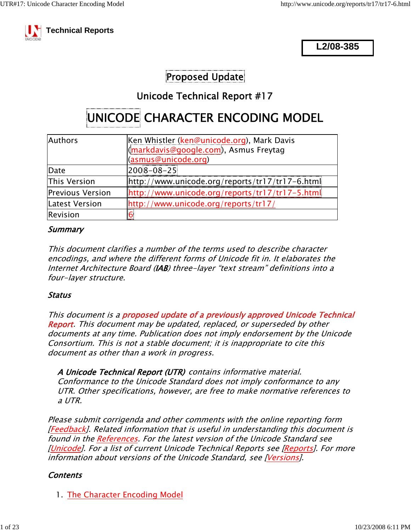

**L2/08-385**

### Proposed Update

### Unicode Technical Report #17

# UNICODE CHARACTER ENCODING MODEL

| <b>Authors</b>          | Ken Whistler (ken@unicode.org), Mark Davis<br>(markdavis@google.com), Asmus Freytag<br>(asmus@unicode.org) |  |
|-------------------------|------------------------------------------------------------------------------------------------------------|--|
| Date                    | $2008 - 08 - 25$                                                                                           |  |
| This Version            | $[http://www.unicode.org/reports/tr17/tr17-6.html]$                                                        |  |
| <b>Previous Version</b> | $[http://www.unicode.org/reports/tr17/tr17-5.html]$                                                        |  |
| Latest Version          | http://www.unicode.org/reports/tr17/                                                                       |  |
| Revision                |                                                                                                            |  |

#### Summary

This document clarifies a number of the terms used to describe character encodings, and where the different forms of Unicode fit in. It elaborates the Internet Architecture Board (IAB) three-layer "text stream" definitions into a four-layer structure.

#### Status

This document is a proposed update of a previously approved Unicode Technical Report. This document may be updated, replaced, or superseded by other documents at any time. Publication does not imply endorsement by the Unicode Consortium. This is not a stable document; it is inappropriate to cite this document as other than a work in progress.

A Unicode Technical Report (UTR) contains informative material. Conformance to the Unicode Standard does not imply conformance to any UTR. Other specifications, however, are free to make normative references to a UTR.

Please submit corrigenda and other comments with the online reporting form [Feedback]. Related information that is useful in understanding this document is found in the References. For the latest version of the Unicode Standard see [Unicode]. For a list of current Unicode Technical Reports see [Reports]. For more information about versions of the Unicode Standard, see [Versions].

#### **Contents**

1. The Character Encoding Model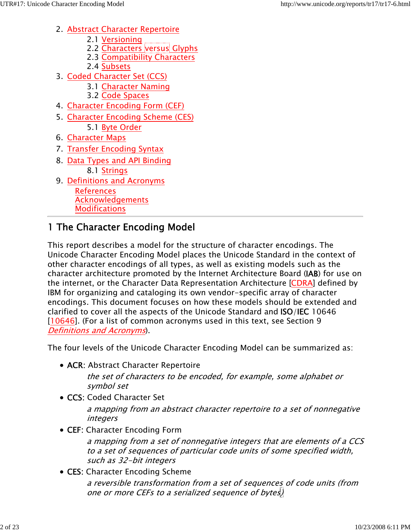- 2. <u>Abstract Character Repertoire</u>
	- 2.1 Versioning
	- 2.2 Characters versus Glyphs
	- 2.3 Compatibility Characters
	- 2.4 Subsets
- 3. <u>Coded Character Set (CCS)</u>
	- 3.1 Character Naming
	- 3.2 Code Spaces
- 4. Character Encoding Form (CEF)
- 5. <u>Character Encoding Scheme (CES)</u> 5.1 Byte Order
- 6. Character Maps
- 7. Transfer Encoding Syntax
- 8. <u>Data Types and API Binding</u> 8.1 Strings
- 9. Definitions and Acronyms References Acknowledgements **Modifications**

# 1 The Character Encoding Model

This report describes a model for the structure of character encodings. The Unicode Character Encoding Model places the Unicode Standard in the context of other character encodings of all types, as well as existing models such as the character architecture promoted by the Internet Architecture Board (IAB) for use on the internet, or the Character Data Representation Architecture [CDRA] defined by IBM for organizing and cataloging its own vendor-specific array of character encodings. This document focuses on how these models should be extended and clarified to cover all the aspects of the Unicode Standard and ISO/IEC 10646 [10646]. (For a list of common acronyms used in this text, see Section 9 Definitions and Acronyms).

The four levels of the Unicode Character Encoding Model can be summarized as:

• ACR: Abstract Character Repertoire

the set of characters to be encoded, for example, some alphabet or symbol set

• CCS: Coded Character Set

a mapping from an abstract character repertoire to a set of nonnegative integers

CEF: Character Encoding Form

a mapping from a set of nonnegative integers that are elements of a CCS to a set of sequences of particular code units of some specified width, such as 32-bit integers

• CES: Character Encoding Scheme

a reversible transformation from a set of sequences of code units (from one or more CEFs to a serialized sequence of bytes)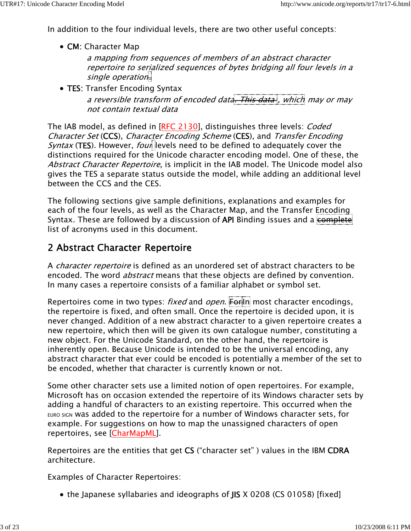In addition to the four individual levels, there are two other useful concepts:

• CM: Character Map

a mapping from sequences of members of an abstract character repertoire to serialized sequences of bytes bridging all four levels in a single operation.

• TES: Transfer Encoding Syntax

a reversible transform of encoded data. This data, which may or may not contain textual data

The IAB model, as defined in [RFC 2130], distinguishes three levels: *Coded* Character Set (CCS), Character Encoding Scheme (CES), and Transfer Encoding *Syntax* (TES). However, *four* levels need to be defined to adequately cover the distinctions required for the Unicode character encoding model. One of these, the Abstract Character Repertoire, is implicit in the IAB model. The Unicode model also gives the TES a separate status outside the model, while adding an additional level between the CCS and the CES.

The following sections give sample definitions, explanations and examples for each of the four levels, as well as the Character Map, and the Transfer Encoding Syntax. These are followed by a discussion of API Binding issues and a complete list of acronyms used in this document.

### 2 Abstract Character Repertoire

A *character repertoire* is defined as an unordered set of abstract characters to be encoded. The word *abstract* means that these objects are defined by convention. In many cases a repertoire consists of a familiar alphabet or symbol set.

Repertoires come in two types: *fixed* and *open*. For In most character encodings, the repertoire is fixed, and often small. Once the repertoire is decided upon, it is never changed. Addition of a new abstract character to a given repertoire creates a new repertoire, which then will be given its own catalogue number, constituting a new object. For the Unicode Standard, on the other hand, the repertoire is inherently open. Because Unicode is intended to be the universal encoding, any abstract character that ever could be encoded is potentially a member of the set to be encoded, whether that character is currently known or not.

Some other character sets use a limited notion of open repertoires. For example, Microsoft has on occasion extended the repertoire of its Windows character sets by adding a handful of characters to an existing repertoire. This occurred when the EURO SIGN was added to the repertoire for a number of Windows character sets, for example. For suggestions on how to map the unassigned characters of open repertoires, see [CharMapML].

Repertoires are the entities that get CS ("character set" ) values in the IBM CDRA architecture.

Examples of Character Repertoires:

• the Japanese syllabaries and ideographs of JIS X 0208 (CS 01058) [fixed]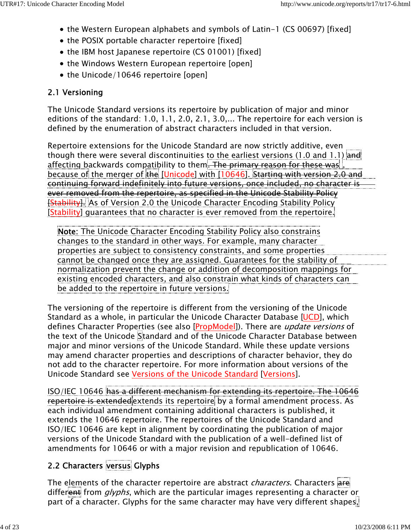- the Western European alphabets and symbols of Latin-1 (CS 00697) [fixed]
- the POSIX portable character repertoire [fixed]
- the IBM host Japanese repertoire (CS 01001) [fixed]
- the Windows Western European repertoire [open]
- the Unicode/10646 repertoire [open]

### 2.1 Versioning

The Unicode Standard versions its repertoire by publication of major and minor editions of the standard: 1.0, 1.1, 2.0, 2.1, 3.0,... The repertoire for each version is defined by the enumeration of abstract characters included in that version.

Repertoire extensions for the Unicode Standard are now strictly additive, even though there were several discontinuities to the earliest versions (1.0 and 1.1) and affecting backwards compatibility to them. The primary reason for these was because of the merger of the [Unicode] with [10646]. Starting with version 2.0 and continuing forward indefinitely into future versions, once included, no character is ever removed from the repertoire, as specified in the Unicode Stability Policy **Exability].** As of Version 2.0 the Unicode Character Encoding Stability Policy [Stability] guarantees that no character is ever removed from the repertoire.

Note: The Unicode Character Encoding Stability Policy also constrains changes to the standard in other ways. For example, many character properties are subject to consistency constraints, and some properties cannot be changed once they are assigned. Guarantees for the stability of normalization prevent the change or addition of decomposition mappings for existing encoded characters, and also constrain what kinds of characters can be added to the repertoire in future versions.

The versioning of the repertoire is different from the versioning of the Unicode Standard as a whole, in particular the Unicode Character Database [UCD], which defines Character Properties (see also [PropModel]). There are *update versions* of the text of the Unicode Standard and of the Unicode Character Database between major and minor versions of the Unicode Standard. While these update versions may amend character properties and descriptions of character behavior, they do not add to the character repertoire. For more information about versions of the Unicode Standard see Versions of the Unicode Standard [Versions].

ISO/IEC 10646 has a different mechanism for extending its repertoire. The 10646 repertoire is extended extends its repertoire by a formal amendment process. As each individual amendment containing additional characters is published, it extends the 10646 repertoire. The repertoires of the Unicode Standard and ISO/IEC 10646 are kept in alignment by coordinating the publication of major versions of the Unicode Standard with the publication of a well-defined list of amendments for 10646 or with a major revision and republication of 10646.

# 2.2 Characters versus Glyphs

The elements of the character repertoire are abstract *characters*. Characters are different from  $glyphs$ , which are the particular images representing a character or part of a character. Glyphs for the same character may have very different shapes,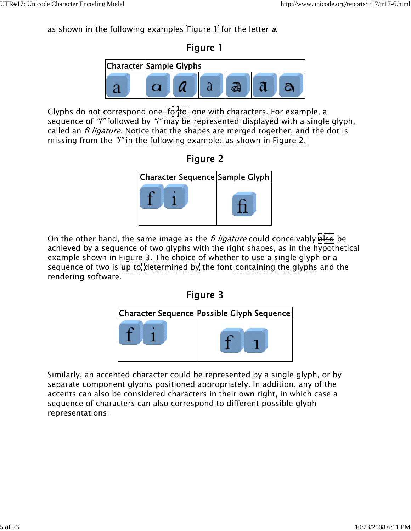as shown in the following examples Figure 1 for the letter  $a$ .





Glyphs do not correspond one-forto-one with characters. For example, a sequence of "f" followed by "i" may be represented displayed with a single glyph, called an *fi ligature.* Notice that the shapes are merged together, and the dot is missing from the "*i*" in the following example: as shown in Figure 2.





On the other hand, the same image as the *fi ligature* could conceivably  $\overline{\text{also}}$  be achieved by a sequence of two glyphs with the right shapes, as in the hypothetical example shown in Figure 3. The choice of whether to use a single glyph or a sequence of two is up to determined by the font containing the glyphs and the rendering software.

### Figure 3



Similarly, an accented character could be represented by a single glyph, or by separate component glyphs positioned appropriately. In addition, any of the accents can also be considered characters in their own right, in which case a sequence of characters can also correspond to different possible glyph representations: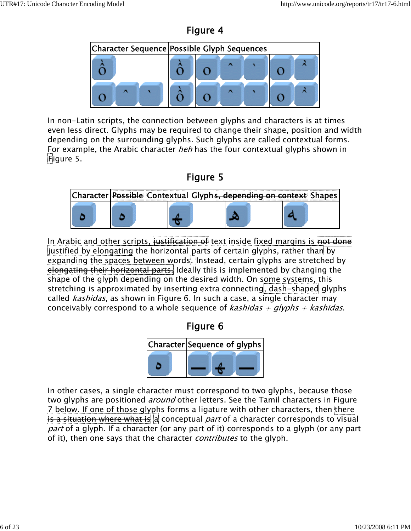



In non-Latin scripts, the connection between glyphs and characters is at times even less direct. Glyphs may be required to change their shape, position and width depending on the surrounding glyphs. Such glyphs are called contextual forms. For example, the Arabic character heh has the four contextual glyphs shown in Figure 5.





In Arabic and other scripts, justification of text inside fixed margins is not done justified by elongating the horizontal parts of certain glyphs, rather than by expanding the spaces between words. Instead, certain glyphs are stretched by elongating their horizontal parts. Ideally this is implemented by changing the shape of the glyph depending on the desired width. On some systems, this stretching is approximated by inserting extra connecting, dash-shaped glyphs called kashidas, as shown in Figure 6. In such a case, a single character may conceivably correspond to a whole sequence of *kashidas* + glyphs + kashidas.

Figure 6



In other cases, a single character must correspond to two glyphs, because those two glyphs are positioned *around* other letters. See the Tamil characters in Figure 7 below. If one of those glyphs forms a ligature with other characters, then there is a situation where what is a conceptual part of a character corresponds to visual part of a glyph. If a character (or any part of it) corresponds to a glyph (or any part of it), then one says that the character *contributes* to the glyph.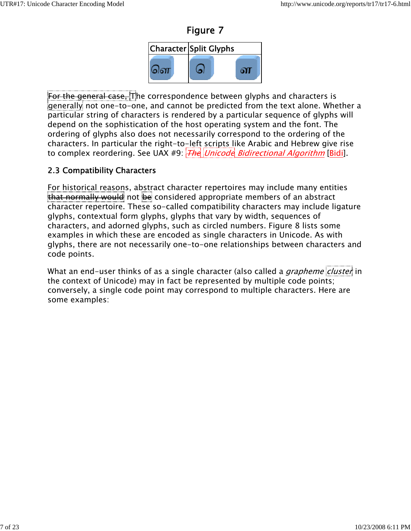



For the general case, The correspondence between glyphs and characters is generally not one-to-one, and cannot be predicted from the text alone. Whether a particular string of characters is rendered by a particular sequence of glyphs will depend on the sophistication of the host operating system and the font. The ordering of glyphs also does not necessarily correspond to the ordering of the characters. In particular the right-to-left scripts like Arabic and Hebrew give rise to complex reordering. See UAX #9:  $\frac{1}{H}$  Unicode Bidirectional Algorithm [Bidi].

#### 2.3 Compatibility Characters

For historical reasons, abstract character repertoires may include many entities that normally would not be considered appropriate members of an abstract character repertoire. These so-called compatibility characters may include ligature glyphs, contextual form glyphs, glyphs that vary by width, sequences of characters, and adorned glyphs, such as circled numbers. Figure 8 lists some examples in which these are encoded as single characters in Unicode. As with glyphs, there are not necessarily one-to-one relationships between characters and code points.

What an end-user thinks of as a single character (also called a *grapheme cluster* in the context of Unicode) may in fact be represented by multiple code points; conversely, a single code point may correspond to multiple characters. Here are some examples: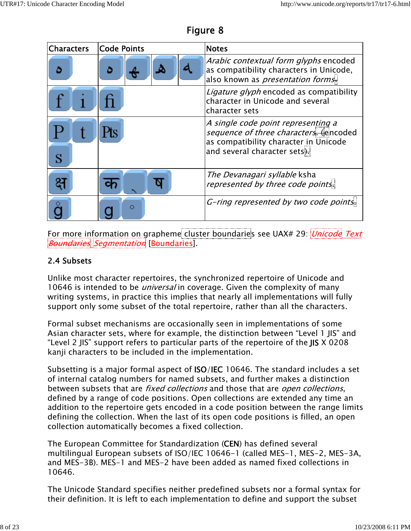| <b>Characters</b> | <b>Code Points</b> | <b>Notes</b>                                                                                                                                         |
|-------------------|--------------------|------------------------------------------------------------------------------------------------------------------------------------------------------|
|                   |                    | Arabic contextual form glyphs encoded<br>as compatibility characters in Unicode,<br>also known as <i>presentation forms</i> .                        |
|                   |                    | Ligature glyph encoded as compatibility<br>character in Unicode and several<br>character sets                                                        |
|                   |                    | A single code point representing a<br>sequence of three characters. (encoded<br>as compatibility character in Unicode<br>and several character sets. |
|                   |                    | The Devanagari syllable ksha<br>represented by three code points.                                                                                    |
|                   | Ο                  | G-ring represented by two code points.                                                                                                               |

Figure 8

For more information on grapheme cluster boundaries see UAX# 29: *Unicode Text* Boundaries Segmentation [Boundaries].

#### 2.4 Subsets

Unlike most character repertoires, the synchronized repertoire of Unicode and 10646 is intended to be *universal* in coverage. Given the complexity of many writing systems, in practice this implies that nearly all implementations will fully support only some subset of the total repertoire, rather than all the characters.

Formal subset mechanisms are occasionally seen in implementations of some Asian character sets, where for example, the distinction between "Level 1 JIS" and "Level 2 JIS" support refers to particular parts of the repertoire of the JIS X 0208 kanji characters to be included in the implementation.

Subsetting is a major formal aspect of ISO/IEC 10646. The standard includes a set of internal catalog numbers for named subsets, and further makes a distinction between subsets that are *fixed collections* and those that are *open collections*, defined by a range of code positions. Open collections are extended any time an addition to the repertoire gets encoded in a code position between the range limits defining the collection. When the last of its open code positions is filled, an open collection automatically becomes a fixed collection.

The European Committee for Standardization (CEN) has defined several multilingual European subsets of ISO/IEC 10646-1 (called MES-1, MES-2, MES-3A, and MES-3B). MES-1 and MES-2 have been added as named fixed collections in 10646.

The Unicode Standard specifies neither predefined subsets nor a formal syntax for their definition. It is left to each implementation to define and support the subset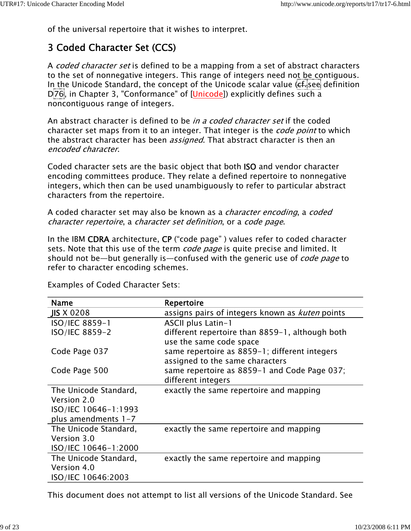of the universal repertoire that it wishes to interpret.

# 3 Coded Character Set (CCS)

A *coded character set* is defined to be a mapping from a set of abstract characters to the set of nonnegative integers. This range of integers need not be contiguous. In the Unicode Standard, the concept of the Unicode scalar value (ef. see definition D<sub>76</sub>, in Chapter 3, "Conformance" of [Unicode]) explicitly defines such a noncontiguous range of integers.

An abstract character is defined to be *in a coded character set* if the coded character set maps from it to an integer. That integer is the *code point* to which the abstract character has been *assigned*. That abstract character is then an encoded character.

Coded character sets are the basic object that both ISO and vendor character encoding committees produce. They relate a defined repertoire to nonnegative integers, which then can be used unambiguously to refer to particular abstract characters from the repertoire.

A coded character set may also be known as a *character encoding*, a *coded* character repertoire, a character set definition, or a code page.

In the IBM CDRA architecture, CP ("code page" ) values refer to coded character sets. Note that this use of the term *code page* is quite precise and limited. It should not be—but generally is—confused with the generic use of *code page* to refer to character encoding schemes.

| <b>Name</b>           | Repertoire                                             |
|-----------------------|--------------------------------------------------------|
| JIS X 0208            | assigns pairs of integers known as <i>kuten</i> points |
| ISO/IEC 8859-1        | ASCII plus Latin-1                                     |
| ISO/IEC 8859-2        | different repertoire than 8859-1, although both        |
|                       | use the same code space                                |
| Code Page 037         | same repertoire as 8859-1; different integers          |
|                       | assigned to the same characters                        |
| Code Page 500         | same repertoire as 8859-1 and Code Page 037;           |
|                       | different integers                                     |
| The Unicode Standard, | exactly the same repertoire and mapping                |
| Version 2.0           |                                                        |
| ISO/IEC 10646-1:1993  |                                                        |
| plus amendments $1-7$ |                                                        |
| The Unicode Standard, | exactly the same repertoire and mapping                |
| Version 3.0           |                                                        |
| ISO/IEC 10646-1:2000  |                                                        |
| The Unicode Standard, | exactly the same repertoire and mapping                |
| Version 4.0           |                                                        |
| ISO/IEC 10646:2003    |                                                        |

Examples of Coded Character Sets:

This document does not attempt to list all versions of the Unicode Standard. See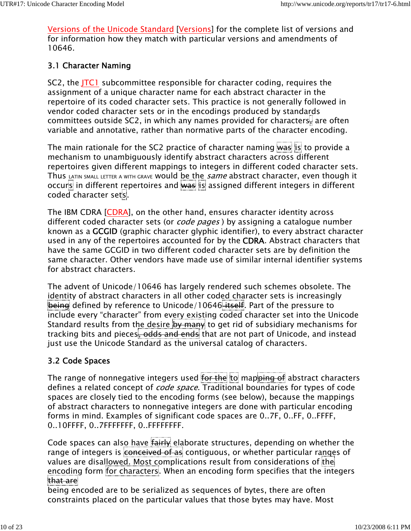Versions of the Unicode Standard [Versions] for the complete list of versions and for information how they match with particular versions and amendments of 10646.

#### 3.1 Character Naming

SC2, the JTC1 subcommittee responsible for character coding, requires the assignment of a unique character name for each abstract character in the repertoire of its coded character sets. This practice is not generally followed in vendor coded character sets or in the encodings produced by standards committees outside SC2, in which any names provided for characters, are often variable and annotative, rather than normative parts of the character encoding.

The main rationale for the SC2 practice of character naming was is to provide a mechanism to unambiguously identify abstract characters across different repertoires given different mappings to integers in different coded character sets. Thus LATIN SMALL LETTER A WITH GRAVE Would be the *same* abstract character, even though it occurs in different repertoires and was is assigned different integers in different coded character sets.

The IBM CDRA [CDRA], on the other hand, ensures character identity across different coded character sets (or *code pages*) by assigning a catalogue number known as a GCGID (graphic character glyphic identifier), to every abstract character used in any of the repertoires accounted for by the CDRA. Abstract characters that have the same GCGID in two different coded character sets are by definition the same character. Other vendors have made use of similar internal identifier systems for abstract characters.

The advent of Unicode/10646 has largely rendered such schemes obsolete. The identity of abstract characters in all other coded character sets is increasingly being defined by reference to Unicode/10646 itself. Part of the pressure to include every "character" from every existing coded character set into the Unicode Standard results from the desire by many to get rid of subsidiary mechanisms for tracking bits and pieces, odds and ends that are not part of Unicode, and instead just use the Unicode Standard as the universal catalog of characters.

#### 3.2 Code Spaces

The range of nonnegative integers used for the to mapping of abstract characters defines a related concept of *code space*. Traditional boundaries for types of code spaces are closely tied to the encoding forms (see below), because the mappings of abstract characters to nonnegative integers are done with particular encoding forms in mind. Examples of significant code spaces are 0..7F, 0..FF, 0..FFFF, 0..10FFFF, 0..7FFFFFFF, 0..FFFFFFFF.

Code spaces can also have fairly elaborate structures, depending on whether the range of integers is conceived of as contiguous, or whether particular ranges of values are disallowed. Most complications result from considerations of the encoding form for characters. When an encoding form specifies that the integers that are

being encoded are to be serialized as sequences of bytes, there are often constraints placed on the particular values that those bytes may have. Most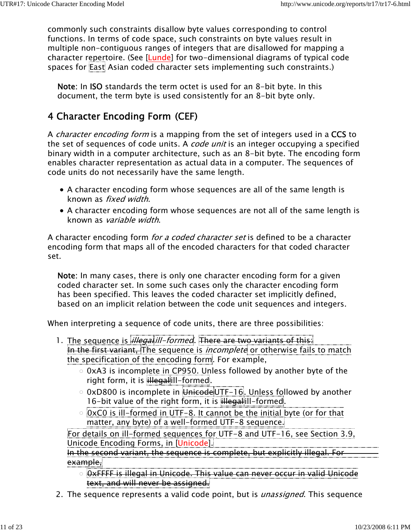commonly such constraints disallow byte values corresponding to control functions. In terms of code space, such constraints on byte values result in multiple non-contiguous ranges of integers that are disallowed for mapping a character repertoire. (See [Lunde] for two-dimensional diagrams of typical code spaces for East Asian coded character sets implementing such constraints.)

Note: In ISO standards the term octet is used for an 8-bit byte. In this document, the term byte is used consistently for an 8-bit byte only.

# 4 Character Encoding Form (CEF)

A *character encoding form* is a mapping from the set of integers used in a CCS to the set of sequences of code units. A *code unit* is an integer occupying a specified binary width in a computer architecture, such as an 8-bit byte. The encoding form enables character representation as actual data in a computer. The sequences of code units do not necessarily have the same length.

- A character encoding form whose sequences are all of the same length is known as fixed width.
- A character encoding form whose sequences are not all of the same length is known as variable width.

A character encoding form *for a coded character set* is defined to be a character encoding form that maps all of the encoded characters for that coded character set.

Note: In many cases, there is only one character encoding form for a given coded character set. In some such cases only the character encoding form has been specified. This leaves the coded character set implicitly defined, based on an implicit relation between the code unit sequences and integers.

When interpreting a sequence of code units, there are three possibilities:

- 1. The sequence is *illegal ill-formed*. There are two variants of this: In the first variant, The sequence is *incomplete* or otherwise fails to match the specification of the encoding form. For example,
	- $\circ$  0xA3 is incomplete in CP950. Unless followed by another byte of the right form, it is illegalill-formed.
	- $\circ$  0xD800 is incomplete in  $\overline{u}$  Unicode UTF-16. Unless followed by another 16-bit value of the right form, it is illegalill-formed.
	- $\circ$  0xC0 is ill-formed in UTF-8. It cannot be the initial byte (or for that matter, any byte) of a well-formed UTF-8 sequence.

For details on ill-formed sequences for UTF-8 and UTF-16, see Section 3.9, Unicode Encoding Forms, in [Unicode].

In the second variant, the sequence is complete, but explicitly illegal. For example,

- 0xFFFF is illegal in Unicode. This value can never occur in valid Unicode text, and will never be assigned.
- 2. The sequence represents a valid code point, but is *unassigned*. This sequence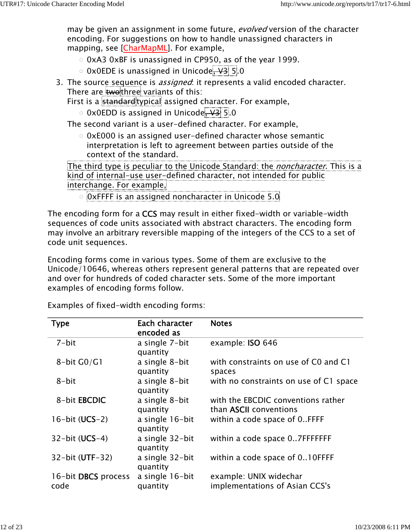may be given an assignment in some future, evolved version of the character encoding. For suggestions on how to handle unassigned characters in mapping, see [CharMapML]. For example,

- $\circ$  0xA3 0xBF is unassigned in CP950, as of the year 1999.
- 0 0x0EDE is unassigned in Unicode, V3 5.0
- 3. The sourc<u>e sequenc</u>e is *assigned*: it represents a valid encoded character. There are twothree variants of this:

First is a standard typical assigned character. For example,

 $\circ$  0x0EDD is assigned in Unicode,  $\sqrt{3}$  5.0

The second variant is a user-defined character. For example,

 $\circ$  0xE000 is an assigned user-defined character whose semantic interpretation is left to agreement between parties outside of the context of the standard.

The third type is peculiar to the Unicode Standard: the *noncharacter*. This is a kind of internal-use user-defined character, not intended for public interchange. For example,

0xFFFF is an assigned noncharacter in Unicode 5.0

The encoding form for a CCS may result in either fixed-width or variable-width sequences of code units associated with abstract characters. The encoding form may involve an arbitrary reversible mapping of the integers of the CCS to a set of code unit sequences.

Encoding forms come in various types. Some of them are exclusive to the Unicode/10646, whereas others represent general patterns that are repeated over and over for hundreds of coded character sets. Some of the more important examples of encoding forms follow.

Examples of fixed-width encoding forms:

| Type                        | Each character<br>encoded as | <b>Notes</b>                                                        |
|-----------------------------|------------------------------|---------------------------------------------------------------------|
| $7 - bit$                   | a single 7-bit<br>quantity   | example: ISO 646                                                    |
| 8-bit $G0/G1$               | a single 8-bit<br>quantity   | with constraints on use of C0 and C1<br>spaces                      |
| 8-bit                       | a single 8-bit<br>quantity   | with no constraints on use of C1 space                              |
| 8-bit EBCDIC                | a single 8-bit<br>quantity   | with the EBCDIC conventions rather<br>than <b>ASCII</b> conventions |
| $16$ -bit (UCS-2)           | a single 16-bit<br>quantity  | within a code space of 0FFFF                                        |
| $32$ -bit (UCS-4)           | a single 32-bit<br>quantity  | within a code space 07FFFFFFF                                       |
| 32-bit (UTF-32)             | a single 32-bit<br>quantity  | within a code space of 010FFFF                                      |
| 16-bit DBCS process<br>code | a single 16-bit<br>quantity  | example: UNIX widechar<br>implementations of Asian CCS's            |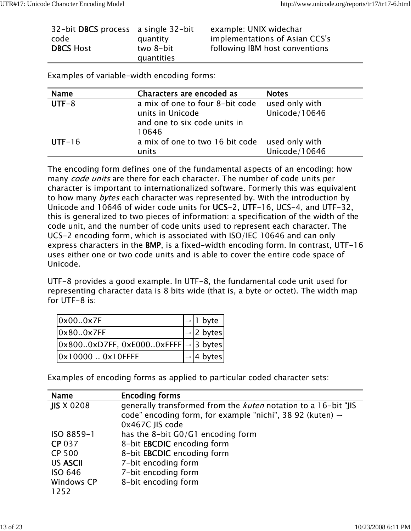| 32-bit DBCS process a single 32-bit |            | example: UNIX widechar         |
|-------------------------------------|------------|--------------------------------|
| code                                | quantity   | implementations of Asian CCS's |
| <b>DBCS Host</b>                    | two 8-bit  | following IBM host conventions |
|                                     | quantities |                                |

Examples of variable-width encoding forms:

| <b>Name</b> | Characters are encoded as                      | <b>Notes</b>   |
|-------------|------------------------------------------------|----------------|
| $UTF-8$     | a mix of one to four 8-bit code                | used only with |
|             | units in Unicode                               | Unicode/10646  |
|             | and one to six code units in                   |                |
|             | 10646                                          |                |
| $UTF-16$    | a mix of one to two 16 bit code used only with |                |
|             | units                                          | Unicode/10646  |

The encoding form defines one of the fundamental aspects of an encoding: how many *code units* are there for each character. The number of code units per character is important to internationalized software. Formerly this was equivalent to how many bytes each character was represented by. With the introduction by Unicode and 10646 of wider code units for UCS-2, UTF-16, UCS-4, and UTF-32, this is generalized to two pieces of information: a specification of the width of the code unit, and the number of code units used to represent each character. The UCS-2 encoding form, which is associated with ISO/IEC 10646 and can only express characters in the BMP, is a fixed-width encoding form. In contrast, UTF-16 uses either one or two code units and is able to cover the entire code space of Unicode.

UTF-8 provides a good example. In UTF-8, the fundamental code unit used for representing character data is 8 bits wide (that is, a byte or octet). The width map for UTF-8 is:

| 0x000x7F                                                                                  | $\rightarrow$ 1 byte   |
|-------------------------------------------------------------------------------------------|------------------------|
| 0x80.0x7FF                                                                                | $\rightarrow$ 2 bytes  |
| $\vert 0 \times 8000 \times$ D7FF, 0xE0000xFFFF $\vert \rightarrow \vert 3$ bytes $\vert$ |                        |
| 0x10000  0x10FFFF                                                                         | $\rightarrow$  4 bytes |

Examples of encoding forms as applied to particular coded character sets:

| <b>Name</b>       | <b>Encoding forms</b>                                                 |
|-------------------|-----------------------------------------------------------------------|
| <b>JIS X 0208</b> | generally transformed from the <i>kuten</i> notation to a 16-bit "JIS |
|                   | code" encoding form, for example "nichi", 38 92 (kuten) $\rightarrow$ |
|                   | 0x467C JIS code                                                       |
| ISO 8859-1        | has the 8-bit G0/G1 encoding form                                     |
| <b>CP 037</b>     | 8-bit EBCDIC encoding form                                            |
| <b>CP 500</b>     | 8-bit EBCDIC encoding form                                            |
| <b>US ASCII</b>   | 7-bit encoding form                                                   |
| <b>ISO 646</b>    | 7-bit encoding form                                                   |
| Windows CP        | 8-bit encoding form                                                   |
| 1252              |                                                                       |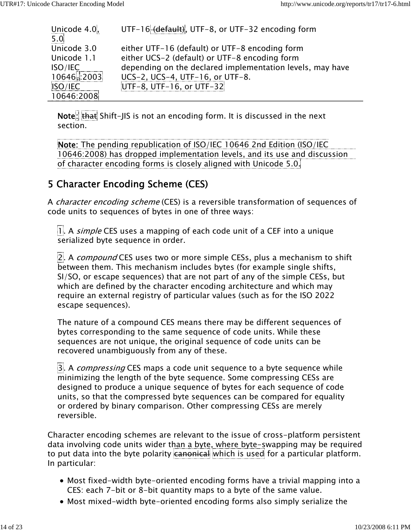| Unicode 4.0,  | UTF-16 (default), UTF-8, or UTF-32 encoding form          |
|---------------|-----------------------------------------------------------|
| $5.0$         |                                                           |
| Unicode 3.0   | either UTF-16 (default) or UTF-8 encoding form            |
| Unicode 1.1   | either UCS-2 (default) or UTF-8 encoding form             |
| ISO/IEC       | depending on the declared implementation levels, may have |
| 10646, : 2003 | UCS-2, UCS-4, UTF-16, or UTF-8.                           |
| ISO/IEC       | UTF-8, UTF-16, or UTF-32                                  |
| 10646:2008    |                                                           |

Note: that Shift-JIS is not an encoding form. It is discussed in the next section.

Note: The pending republication of ISO/IEC 10646 2nd Edition (ISO/IEC 10646:2008) has dropped implementation levels, and its use and discussion of character encoding forms is closely aligned with Unicode 5.0.

### 5 Character Encoding Scheme (CES)

A *character encoding scheme* (CES) is a reversible transformation of sequences of code units to sequences of bytes in one of three ways:

1. A *simple* CES uses a mapping of each code unit of a CEF into a unique serialized byte sequence in order.

2. A *compound* CES uses two or more simple CESs, plus a mechanism to shift between them. This mechanism includes bytes (for example single shifts, SI/SO, or escape sequences) that are not part of any of the simple CESs, but which are defined by the character encoding architecture and which may require an external registry of particular values (such as for the ISO 2022 escape sequences).

The nature of a compound CES means there may be different sequences of bytes corresponding to the same sequence of code units. While these sequences are not unique, the original sequence of code units can be recovered unambiguously from any of these.

3. A *compressing* CES maps a code unit sequence to a byte sequence while minimizing the length of the byte sequence. Some compressing CESs are designed to produce a unique sequence of bytes for each sequence of code units, so that the compressed byte sequences can be compared for equality or ordered by binary comparison. Other compressing CESs are merely reversible.

Character encoding schemes are relevant to the issue of cross-platform persistent data involving code units wider than a byte, where byte-swapping may be required to put data into the byte polarity canonical which is used for a particular platform. In particular:

- Most fixed-width byte-oriented encoding forms have a trivial mapping into a CES: each 7-bit or 8-bit quantity maps to a byte of the same value.
- Most mixed-width byte-oriented encoding forms also simply serialize the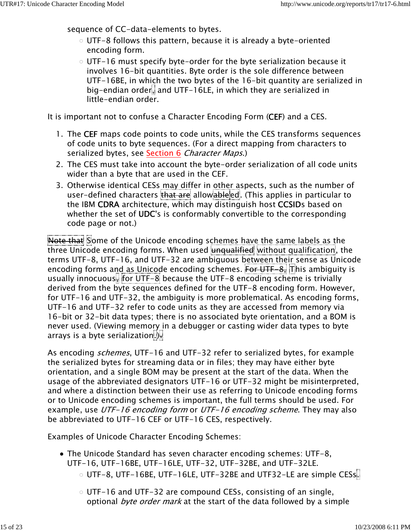sequence of CC-data-elements to bytes.

- $\circ$  UTF-8 follows this pattern, because it is already a byte-oriented encoding form.
- $\circ$  UTF-16 must specify byte-order for the byte serialization because it involves 16-bit quantities. Byte order is the sole difference between UTF-16BE, in which the two bytes of the 16-bit quantity are serialized in big-endian order, and UTF-16LE, in which they are serialized in little-endian order.

It is important not to confuse a Character Encoding Form (CEF) and a CES.

- 1. The CEF maps code points to code units, while the CES transforms sequences of code units to byte sequences. (For a direct mapping from characters to serialized bytes, see Section 6 Character Maps.)
- The CES must take into account the byte-order serialization of all code units 2. wider than a byte that are used in the CEF.
- 3. Otherwise identical CESs <u>may dif</u>fer in <u>other a</u>spects, such as the number of user-defined characters that are allowableed. (This applies in particular to the IBM CDRA architecture, which may distinguish host CCSIDs based on whether the set of UDC's is conformably convertible to the corresponding code page or not.)

Note that Some of the Unicode encoding schemes have the same labels as the three Unicode encoding forms. When used unqualified without qualification, the terms UTF-8, UTF-16, and UTF-32 are ambiguous between their sense as Unicode encoding forms and as Unicode encoding schemes. For UTF-8, This ambiguity is usually innocuous, for UTF-8 because the UTF-8 encoding scheme is trivially derived from the byte sequences defined for the UTF-8 encoding form. However, for UTF-16 and UTF-32, the ambiguity is more problematical. As encoding forms, UTF-16 and UTF-32 refer to code units as they are accessed from memory via 16-bit or 32-bit data types; there is no associated byte orientation, and a BOM is never used. (Viewing memory in a debugger or casting wider data types to byte arrays is a byte serialization.).

As encoding *schemes*, UTF-16 and UTF-32 refer to serialized bytes, for example the serialized bytes for streaming data or in files; they may have either byte orientation, and a single BOM may be present at the start of the data. When the usage of the abbreviated designators UTF-16 or UTF-32 might be misinterpreted, and where a distinction between their use as referring to Unicode encoding forms or to Unicode encoding schemes is important, the full terms should be used. For example, use UTF-16 encoding form or UTF-16 encoding scheme. They may also be abbreviated to UTF-16 CEF or UTF-16 CES, respectively.

Examples of Unicode Character Encoding Schemes:

- The Unicode Standard has seven character encoding schemes: UTF-8, UTF-16, UTF-16BE, UTF-16LE, UTF-32, UTF-32BE, and UTF-32LE.
	- $\circ$  UTF-8, UTF-16BE, UTF-16LE, UTF-32BE and UTF32-LE are simple CESs.
	- $\circ$  UTF-16 and UTF-32 are compound CESs, consisting of an single, optional *byte order mark* at the start of the data followed by a simple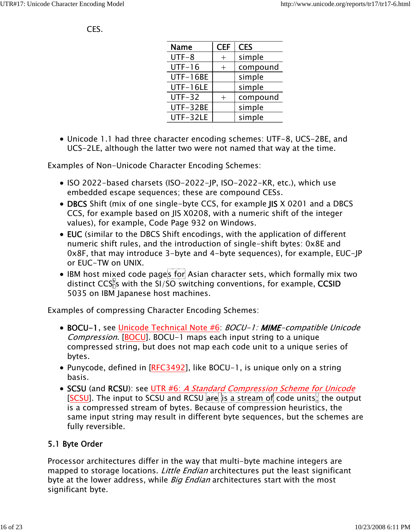#### CES.

| <b>Name</b>     | <b>CEF</b>     | <b>CES</b> |
|-----------------|----------------|------------|
| $UTF-8$         | $\overline{+}$ | simple     |
| $UTF-16$        |                | compound   |
| <b>UTF-16BE</b> |                | simple     |
| UTF-16LE        |                | simple     |
| $UTF-32$        | $^+$           | compound   |
| UTF-32BE        |                | simple     |
| UTF-32LE        |                | simple     |

Unicode 1.1 had three character encoding schemes: UTF-8, UCS-2BE, and UCS-2LE, although the latter two were not named that way at the time.

Examples of Non-Unicode Character Encoding Schemes:

- ISO 2022-based charsets (ISO-2022-JP, ISO-2022-KR, etc.), which use embedded escape sequences; these are compound CESs.
- DBCS Shift (mix of one single-byte CCS, for example JIS X 0201 and a DBCS CCS, for example based on JIS X0208, with a numeric shift of the integer values), for example, Code Page 932 on Windows.
- EUC (similar to the DBCS Shift encodings, with the application of different numeric shift rules, and the introduction of single-shift bytes: 0x8E and 0x8F, that may introduce 3-byte and 4-byte sequences), for example, EUC-JP or EUC-TW on UNIX.
- IBM host mixed code pages for Asian character sets, which formally mix two distinct CCS's with the SI/SO switching conventions, for example, CCSID 5035 on IBM Japanese host machines.

Examples of compressing Character Encoding Schemes:

- BOCU-1, see Unicode Technical Note #6: BOCU-1: MIME-compatible Unicode Compression. [BOCU]. BOCU-1 maps each input string to a unique compressed string, but does not map each code unit to a unique series of bytes.
- Punycode, defined in [RFC3492], like BOCU-1, is unique only on a string basis.
- SCSU (and RCSU): see UTR #6: A Standard Compression Scheme for Unicode [SCSU]. The input to SCSU and RCSU are is a stream of code units; the output is a compressed stream of bytes. Because of compression heuristics, the same input string may result in different byte sequences, but the schemes are fully reversible.

#### 5.1 Byte Order

Processor architectures differ in the way that multi-byte machine integers are mapped to storage locations. Little Endian architectures put the least significant byte at the lower address, while *Big Endian* architectures start with the most significant byte.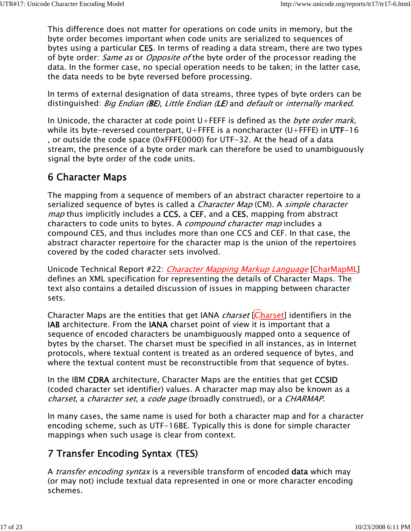This difference does not matter for operations on code units in memory, but the byte order becomes important when code units are serialized to sequences of bytes using a particular CES. In terms of reading a data stream, there are two types of byte order: *Same as* or *Opposite of* the byte order of the processor reading the data. In the former case, no special operation needs to be taken; in the latter case, the data needs to be byte reversed before processing.

In terms of external designation of data streams, three types of byte orders can be distinguished: Big Endian (BE), Little Endian (LE) and default or internally marked.

In Unicode, the character at code point  $U$ +FEFF is defined as the *byte order mark*, while its byte-reversed counterpart, U+FFFE is a noncharacter (U+FFFE) in UTF-16 , or outside the code space (0xFFFE0000) for UTF-32. At the head of a data stream, the presence of a byte order mark can therefore be used to unambiguously signal the byte order of the code units.

## 6 Character Maps

The mapping from a sequence of members of an abstract character repertoire to a serialized sequence of bytes is called a *Character Map* (CM). A *simple character map* thus implicitly includes a CCS, a CEF, and a CES, mapping from abstract characters to code units to bytes. A *compound character map* includes a compound CES, and thus includes more than one CCS and CEF. In that case, the abstract character repertoire for the character map is the union of the repertoires covered by the coded character sets involved.

Unicode Technical Report #22: *Character Mapping Markup Language* [CharMapML] defines an XML specification for representing the details of Character Maps. The text also contains a detailed discussion of issues in mapping between character sets.

Character Maps are the entities that get IANA *charset* [Charset] identifiers in the IAB architecture. From the IANA charset point of view it is important that a sequence of encoded characters be unambiguously mapped onto a sequence of bytes by the charset. The charset must be specified in all instances, as in Internet protocols, where textual content is treated as an ordered sequence of bytes, and where the textual content must be reconstructible from that sequence of bytes.

In the IBM CDRA architecture, Character Maps are the entities that get CCSID (coded character set identifier) values. A character map may also be known as a charset, a character set, a code page (broadly construed), or a CHARMAP.

In many cases, the same name is used for both a character map and for a character encoding scheme, such as UTF-16BE. Typically this is done for simple character mappings when such usage is clear from context.

## 7 Transfer Encoding Syntax (TES)

A *transfer encoding syntax* is a reversible transform of encoded **data** which may (or may not) include textual data represented in one or more character encoding schemes.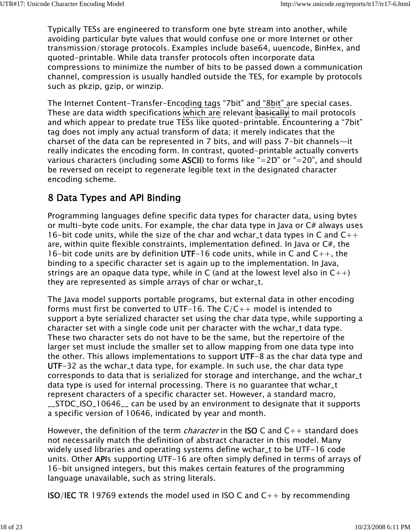Typically TESs are engineered to transform one byte stream into another, while avoiding particular byte values that would confuse one or more Internet or other transmission/storage protocols. Examples include base64, uuencode, BinHex, and quoted-printable. While data transfer protocols often incorporate data compressions to minimize the number of bits to be passed down a communication channel, compression is usually handled outside the TES, for example by protocols such as pkzip, gzip, or winzip.

The Internet Content-Transfer-Encoding tags "7bit" and "8bit" are special cases. These are data width specifications which are relevant basically to mail protocols and which appear to predate true TESs like quoted-printable. Encountering a "7bit" tag does not imply any actual transform of data; it merely indicates that the charset of the data can be represented in 7 bits, and will pass 7-bit channels—it really indicates the encoding form. In contrast, quoted-printable actually converts various characters (including some **ASCII**) to forms like "=2D" or "=20", and should be reversed on receipt to regenerate legible text in the designated character encoding scheme.

# 8 Data Types and API Binding

Programming languages define specific data types for character data, using bytes or multi-byte code units. For example, the char data type in Java or C# always uses 16-bit code units, while the size of the char and wchar  $\pm$  data types in C and  $C_{++}$ are, within quite flexible constraints, implementation defined. In Java or C#, the 16-bit code units are by definition UTF-16 code units, while in C and  $C_{++}$ , the binding to a specific character set is again up to the implementation. In Java, strings are an opaque data type, while in C (and at the lowest level also in  $C^{++}$ ) they are represented as simple arrays of char or wchar\_t.

The Java model supports portable programs, but external data in other encoding forms must first be converted to UTF-16. The  $C/C++$  model is intended to support a byte serialized character set using the char data type, while supporting a character set with a single code unit per character with the wchar\_t data type. These two character sets do not have to be the same, but the repertoire of the larger set must include the smaller set to allow mapping from one data type into the other. This allows implementations to support UTF-8 as the char data type and UTF-32 as the wchar\_t data type, for example. In such use, the char data type corresponds to data that is serialized for storage and interchange, and the wchar\_t data type is used for internal processing. There is no guarantee that wchar\_t represent characters of a specific character set. However, a standard macro, \_\_STDC\_ISO\_10646\_\_ can be used by an environment to designate that it supports a specific version of 10646, indicated by year and month.

However, the definition of the term *character* in the **ISO** C and  $C_{++}$  standard does not necessarily match the definition of abstract character in this model. Many widely used libraries and operating systems define wchar\_t to be UTF-16 code units. Other APIs supporting UTF-16 are often simply defined in terms of arrays of 16-bit unsigned integers, but this makes certain features of the programming language unavailable, such as string literals.

**ISO/IEC** TR 19769 extends the model used in ISO C and  $C_{++}$  by recommending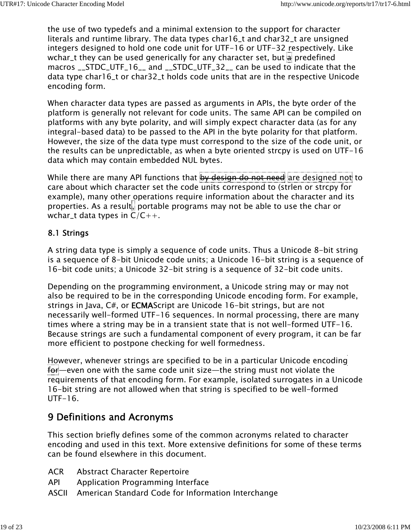the use of two typedefs and a minimal extension to the support for character literals and runtime library. The data types char16\_t and char32\_t are unsigned integers designed to hold one code unit for UTF-16 or UTF-32 respectively. Like wchar\_t they can be used generically for any character set, but  $\frac{1}{2}$  predefined macros \_\_STDC\_UTF\_16\_\_ and \_\_STDC\_UTF\_32\_\_ can be used to indicate that the data type char16\_t or char32\_t holds code units that are in the respective Unicode encoding form.

When character data types are passed as arguments in APIs, the byte order of the platform is generally not relevant for code units. The same API can be compiled on platforms with any byte polarity, and will simply expect character data (as for any integral-based data) to be passed to the API in the byte polarity for that platform. However, the size of the data type must correspond to the size of the code unit, or the results can be unpredictable, as when a byte oriented strcpy is used on UTF-16 data which may contain embedded NUL bytes.

While there are many API functions that by design do not need are designed not to care about which character set the code units correspond to (strlen or strcpy for example), many other operations require information about the character and its properties. As a result, portable programs may not be able to use the char or wchar\_t data types in  $C/C++$ .

#### 8.1 Strings

A string data type is simply a sequence of code units. Thus a Unicode 8-bit string is a sequence of 8-bit Unicode code units; a Unicode 16-bit string is a sequence of 16-bit code units; a Unicode 32-bit string is a sequence of 32-bit code units.

Depending on the programming environment, a Unicode string may or may not also be required to be in the corresponding Unicode encoding form. For example, strings in Java, C#, or ECMAScript are Unicode 16-bit strings, but are not necessarily well-formed UTF-16 sequences. In normal processing, there are many times where a string may be in a transient state that is not well-formed UTF-16. Because strings are such a fundamental component of every program, it can be far more efficient to postpone checking for well formedness.

However, whenever strings are specified to be in a particular Unicode encoding for—even one with the same code unit size—the string must not violate the requirements of that encoding form. For example, isolated surrogates in a Unicode 16-bit string are not allowed when that string is specified to be well-formed UTF-16.

# 9 Definitions and Acronyms

This section briefly defines some of the common acronyms related to character encoding and used in this text. More extensive definitions for some of these terms can be found elsewhere in this document.

- ACR Abstract Character Repertoire
- API Application Programming Interface
- ASCII American Standard Code for Information Interchange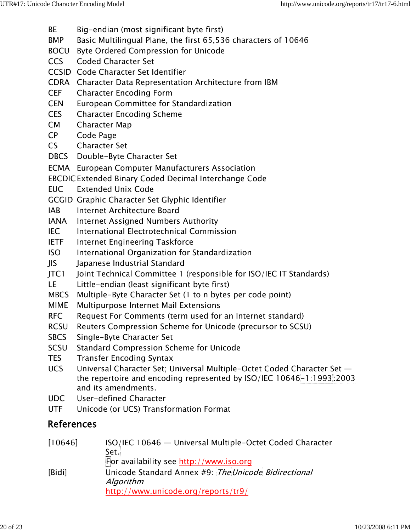- BE Big-endian (most significant byte first)
- BMP Basic Multilingual Plane, the first 65,536 characters of 10646
- BOCU Byte Ordered Compression for Unicode
- CCS Coded Character Set
- CCSID Code Character Set Identifier
- CDRA Character Data Representation Architecture from IBM
- CEF Character Encoding Form
- CEN European Committee for Standardization
- CES Character Encoding Scheme
- CM Character Map
- CP Code Page
- CS Character Set
- DBCS Double-Byte Character Set
- ECMA European Computer Manufacturers Association
- EBCDICExtended Binary Coded Decimal Interchange Code
- EUC Extended Unix Code
- GCGID Graphic Character Set Glyphic Identifier
- IAB Internet Architecture Board
- IANA Internet Assigned Numbers Authority
- IEC International Electrotechnical Commission
- IETF Internet Engineering Taskforce
- ISO International Organization for Standardization
- JIS Japanese Industrial Standard
- JTC1 Joint Technical Committee 1 (responsible for ISO/IEC IT Standards)
- LE Little-endian (least significant byte first)
- MBCS Multiple-Byte Character Set (1 to n bytes per code point)
- MIME Multipurpose Internet Mail Extensions
- RFC Request For Comments (term used for an Internet standard)
- RCSU Reuters Compression Scheme for Unicode (precursor to SCSU)
- SBCS Single-Byte Character Set
- SCSU Standard Compression Scheme for Unicode
- TES Transfer Encoding Syntax
- UCS Universal Character Set; Universal Multiple-Octet Coded Character Set the repertoire and encoding represented by  $ISO/IEC 10646 -1:1993:2003$ and its amendments.
- UDC User-defined Character
- UTF Unicode (or UCS) Transformation Format

## References

| [10646] | ISO/IEC 10646 — Universal Multiple-Octet Coded Character |
|---------|----------------------------------------------------------|
|         | Set.<br>For availability see http://www.iso.org          |
|         |                                                          |
| [Bidi]  | Unicode Standard Annex #9: The Unicode Bidirectional     |
|         | Algorithm                                                |
|         | http://www.unicode.org/reports/tr9/                      |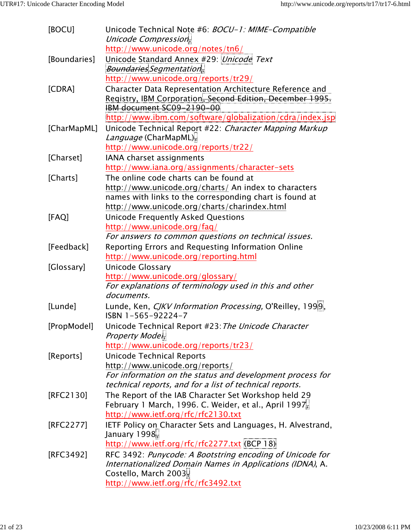| [BOCU]       | Unicode Technical Note #6: BOCU-1: MIME-Compatible<br>Unicode Compression,   |
|--------------|------------------------------------------------------------------------------|
|              | http://www.unicode.org/notes/tn6/                                            |
| [Boundaries] | Unicode Standard Annex #29: Unicode Text                                     |
|              | Boundaries Segmentation.                                                     |
|              | http://www.unicode.org/reports/tr29/                                         |
| [CDRA]       | Character Data Representation Architecture Reference and                     |
|              | Registry, IBM Corporation, Second Edition, December 1995.                    |
|              | IBM document SC09-2190-00                                                    |
|              | http://www.ibm.com/software/globalization/cdra/index.jsp                     |
| [CharMapML]  | Unicode Technical Report #22: Character Mapping Markup                       |
|              | Language (CharMapML)                                                         |
|              | http://www.unicode.org/reports/tr22/                                         |
| [Charset]    | IANA charset assignments                                                     |
|              | http://www.iana.org/assignments/character-sets                               |
| [Charts]     | The online code charts can be found at                                       |
|              | http://www.unicode.org/charts/ An index to characters                        |
|              | names with links to the corresponding chart is found at                      |
|              | http://www.unicode.org/charts/charindex.html                                 |
| [FAQ]        | <b>Unicode Frequently Asked Questions</b>                                    |
|              | http://www.unicode.org/faq/                                                  |
|              | For answers to common questions on technical issues.                         |
| [Feedback]   | Reporting Errors and Requesting Information Online                           |
|              | http://www.unicode.org/reporting.html                                        |
| [Glossary]   | Unicode Glossary                                                             |
|              | http://www.unicode.org/glossary/                                             |
|              | For explanations of terminology used in this and other                       |
|              | documents.                                                                   |
| [Lunde]      | Lunde, Ken, CJKV Information Processing, O'Reilley, 1999,                    |
|              | ISBN 1-565-92224-7                                                           |
| [PropModel]  | Unicode Technical Report #23: The Unicode Character                          |
|              | Property Moder,                                                              |
|              | http://www.unicode.org/reports/tr23/                                         |
| [Reports]    | <b>Unicode Technical Reports</b>                                             |
|              | http://www.unicode.org/reports/                                              |
|              | For information on the status and development process for                    |
|              | technical reports, and for a list of technical reports.                      |
| [RFC2130]    | The Report of the IAB Character Set Workshop held 29                         |
|              | February 1 March, 1996. C. Weider, et al., April 1997                        |
|              | http://www.ietf.org/rfc/rfc2130.txt                                          |
| [RFC2277]    | IETF Policy on Character Sets and Languages, H. Alvestrand,<br>January 1998, |
|              | http://www.ietf.org/rfc/rfc2277.txt (BCP 18)                                 |
| [RFC3492]    | RFC 3492: Punycode: A Bootstring encoding of Unicode for                     |
|              | Internationalized Domain Names in Applications (IDNA), A.                    |
|              | Costello, March 2003,                                                        |
|              | http://www.ietf.org/rfc/rfc3492.txt                                          |
|              |                                                                              |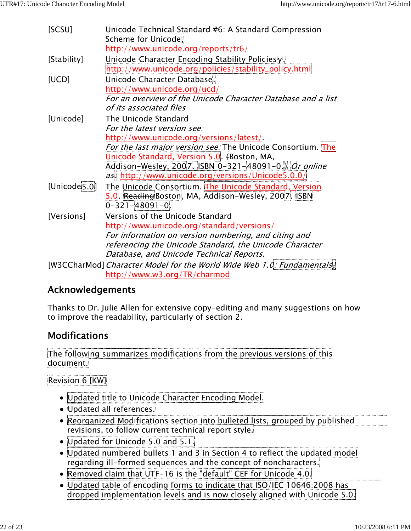| [SCSU]                   | Unicode Technical Standard #6: A Standard Compression                 |
|--------------------------|-----------------------------------------------------------------------|
|                          | Scheme for Unicode,                                                   |
|                          | http://www.unicode.org/reports/tr6/                                   |
| [Stability]              | Unicode Character Encoding Stability Policiesy                        |
|                          | http://www.unicode.org/policies/stability_policy.html                 |
| [UCD]                    | Unicode Character Database.                                           |
|                          | http://www.unicode.org/ucd/                                           |
|                          | For an overview of the Unicode Character Database and a list          |
|                          | of its associated files                                               |
| [Unicode]                | The Unicode Standard                                                  |
|                          | For the latest version see:                                           |
|                          | http://www.unicode.org/versions/latest/                               |
|                          | For the last major version see: The Unicode Consortium. The           |
|                          | Unicode Standard, Version 5.0. (Boston, MA,                           |
|                          | Addison-Wesley, 2007. ISBN 0-321-48091-0. Or online                   |
|                          | as: http://www.unicode.org/versions/Unicode5.0.0/                     |
| [Unicode <sup>5.0]</sup> | The Unicode Consortium. The Unicode Standard, Version                 |
|                          | 5.0 Reading Boston, MA, Addison-Wesley, 2007. ISBN                    |
|                          | $0 - 321 - 48091 - 0.$                                                |
| [Versions]               | Versions of the Unicode Standard                                      |
|                          | http://www.unicode.org/standard/versions/                             |
|                          | For information on version numbering, and citing and                  |
|                          | referencing the Unicode Standard, the Unicode Character               |
|                          | Database, and Unicode Technical Reports.                              |
|                          | [W3CCharMod] Character Model for the World Wide Web 1.0: Fundamentals |
|                          | http://www.w3.org/TR/charmod                                          |

### Acknowledgements

Thanks to Dr. Julie Allen for extensive copy-editing and many suggestions on how to improve the readability, particularly of section 2.

## Modifications

The following summarizes modifications from the previous versions of this document.

Revision 6 [KW]

- Updated title to Unicode Character Encoding Model.
- Updated all references.
- Reorganized Modifications section into bulleted lists, grouped by published revisions, to follow current technical report style.
- Updated for Unicode 5.0 and 5.1.
- Updated numbered bullets 1 and 3 in Section 4 to reflect the updated model regarding ill-formed sequences and the concept of noncharacters.
- Removed claim that UTF-16 is the "default" CEF for Unicode 4.0.
- Updated table of encoding forms to indicate that ISO/IEC 10646:2008 has dropped implementation levels and is now closely aligned with Unicode 5.0.